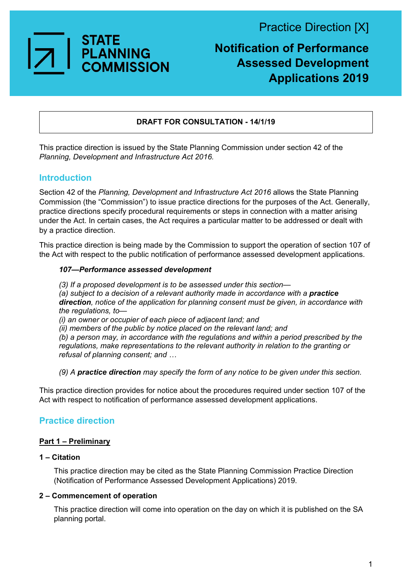Practice Direction [X]



### **Notification of Performance Assessed Development Applications 2019**

#### **DRAFT FOR CONSULTATION - 14/1/19**

This practice direction is issued by the State Planning Commission under section 42 of the *Planning, Development and Infrastructure Act 2016.*

#### **Introduction**

Section 42 of the *Planning, Development and Infrastructure Act 2016* allows the State Planning Commission (the "Commission") to issue practice directions for the purposes of the Act. Generally, practice directions specify procedural requirements or steps in connection with a matter arising under the Act. In certain cases, the Act requires a particular matter to be addressed or dealt with by a practice direction.

This practice direction is being made by the Commission to support the operation of section 107 of the Act with respect to the public notification of performance assessed development applications.

#### *107—Performance assessed development*

*(3) If a proposed development is to be assessed under this section—*

(a) subject to a decision of a relevant authority made in accordance with a **practice** *direction, notice of the application for planning consent must be given, in accordance with the regulations, to—*

*(i) an owner or occupier of each piece of adjacent land; and*

*(ii) members of the public by notice placed on the relevant land; and*

*(b) a person may, in accordance with the regulations and within a period prescribed by the regulations, make representations to the relevant authority in relation to the granting or refusal of planning consent; and …*

*(9) A practice direction may specify the form of any notice to be given under this section.*

This practice direction provides for notice about the procedures required under section 107 of the Act with respect to notification of performance assessed development applications.

#### **Practice direction**

#### **Part 1 – Preliminary**

#### **1 – Citation**

This practice direction may be cited as the State Planning Commission Practice Direction (Notification of Performance Assessed Development Applications) 2019.

#### **2 – Commencement of operation**

This practice direction will come into operation on the day on which it is published on the SA planning portal.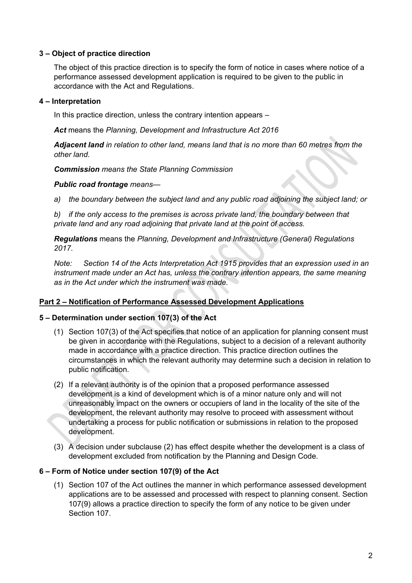#### **3 – Object of practice direction**

The object of this practice direction is to specify the form of notice in cases where notice of a performance assessed development application is required to be given to the public in accordance with the Act and Regulations.

#### **4 – Interpretation**

In this practice direction, unless the contrary intention appears –

*Act* means the *Planning, Development and Infrastructure Act 2016*

*Adjacent land in relation to other land, means land that is no more than 60 metres from the other land.*

*Commission means the State Planning Commission*

#### *Public road frontage means—*

*a) the boundary between the subject land and any public road adjoining the subject land; or* 

*b) if the only access to the premises is across private land, the boundary between that private land and any road adjoining that private land at the point of access.* 

*Regulations* means the *Planning, Development and Infrastructure (General) Regulations 2017*.

*Note: Section 14 of the Acts Interpretation Act 1915 provides that an expression used in an instrument made under an Act has, unless the contrary intention appears, the same meaning as in the Act under which the instrument was made.*

#### **Part 2 – Notification of Performance Assessed Development Applications**

#### **5 – Determination under section 107(3) of the Act**

- (1) Section 107(3) of the Act specifies that notice of an application for planning consent must be given in accordance with the Regulations, subject to a decision of a relevant authority made in accordance with a practice direction. This practice direction outlines the circumstances in which the relevant authority may determine such a decision in relation to public notification.
- (2) If a relevant authority is of the opinion that a proposed performance assessed development is a kind of development which is of a minor nature only and will not unreasonably impact on the owners or occupiers of land in the locality of the site of the development, the relevant authority may resolve to proceed with assessment without undertaking a process for public notification or submissions in relation to the proposed development.
- (3) A decision under subclause (2) has effect despite whether the development is a class of development excluded from notification by the Planning and Design Code.

#### **6 – Form of Notice under section 107(9) of the Act**

(1) Section 107 of the Act outlines the manner in which performance assessed development applications are to be assessed and processed with respect to planning consent. Section 107(9) allows a practice direction to specify the form of any notice to be given under Section 107.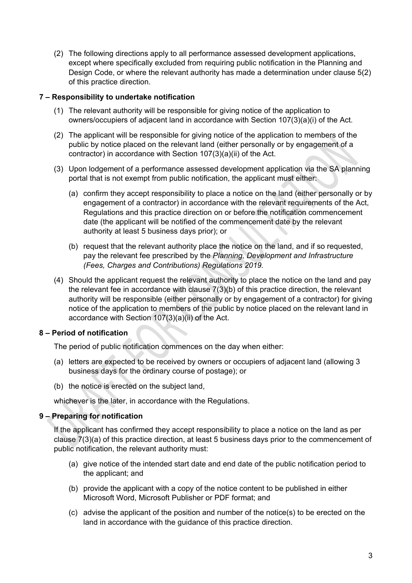(2) The following directions apply to all performance assessed development applications, except where specifically excluded from requiring public notification in the Planning and Design Code, or where the relevant authority has made a determination under clause 5(2) of this practice direction.

#### **7 – Responsibility to undertake notification**

- (1) The relevant authority will be responsible for giving notice of the application to owners/occupiers of adjacent land in accordance with Section 107(3)(a)(i) of the Act.
- (2) The applicant will be responsible for giving notice of the application to members of the public by notice placed on the relevant land (either personally or by engagement of a contractor) in accordance with Section 107(3)(a)(ii) of the Act.
- (3) Upon lodgement of a performance assessed development application via the SA planning portal that is not exempt from public notification, the applicant must either:
	- (a) confirm they accept responsibility to place a notice on the land (either personally or by engagement of a contractor) in accordance with the relevant requirements of the Act, Regulations and this practice direction on or before the notification commencement date (the applicant will be notified of the commencement date by the relevant authority at least 5 business days prior); or
	- (b) request that the relevant authority place the notice on the land, and if so requested, pay the relevant fee prescribed by the *Planning, Development and Infrastructure (Fees, Charges and Contributions) Regulations 2019.*
- (4) Should the applicant request the relevant authority to place the notice on the land and pay the relevant fee in accordance with clause 7(3)(b) of this practice direction, the relevant authority will be responsible (either personally or by engagement of a contractor) for giving notice of the application to members of the public by notice placed on the relevant land in accordance with Section 107(3)(a)(ii) of the Act.

#### **8 – Period of notification**

The period of public notification commences on the day when either:

- (a) letters are expected to be received by owners or occupiers of adjacent land (allowing 3 business days for the ordinary course of postage); or
- (b) the notice is erected on the subject land,

whichever is the later, in accordance with the Regulations.

#### **9 – Preparing for notification**

If the applicant has confirmed they accept responsibility to place a notice on the land as per clause 7(3)(a) of this practice direction, at least 5 business days prior to the commencement of public notification, the relevant authority must:

- (a) give notice of the intended start date and end date of the public notification period to the applicant; and
- (b) provide the applicant with a copy of the notice content to be published in either Microsoft Word, Microsoft Publisher or PDF format; and
- (c) advise the applicant of the position and number of the notice(s) to be erected on the land in accordance with the guidance of this practice direction.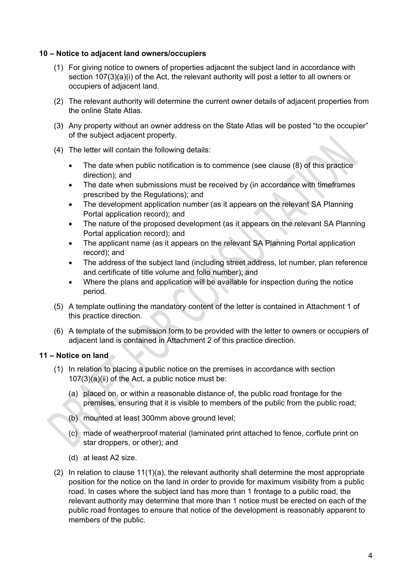#### **10 – Notice to adjacent land owners/occupiers**

- (1) For giving notice to owners of properties adjacent the subject land in accordance with section 107(3)(a)(i) of the Act, the relevant authority will post a letter to all owners or occupiers of adjacent land.
- (2) The relevant authority will determine the current owner details of adjacent properties from the online State Atlas.
- (3) Any property without an owner address on the State Atlas will be posted "to the occupier" of the subject adjacent property.
- (4) The letter will contain the following details:
	- The date when public notification is to commence (see clause (8) of this practice direction); and
	- The date when submissions must be received by (in accordance with timeframes prescribed by the Regulations); and
	- The development application number (as it appears on the relevant SA Planning Portal application record); and
	- The nature of the proposed development (as it appears on the relevant SA Planning Portal application record); and
	- The applicant name (as it appears on the relevant SA Planning Portal application record); and
	- The address of the subject land (including street address, lot number, plan reference and certificate of title volume and folio number); and
	- Where the plans and application will be available for inspection during the notice period.
- (5) A template outlining the mandatory content of the letter is contained in Attachment 1 of this practice direction.
- (6) A template of the submission form to be provided with the letter to owners or occupiers of adjacent land is contained in Attachment 2 of this practice direction.

#### **11 – Notice on land**

- (1) In relation to placing a public notice on the premises in accordance with section 107(3)(a)(ii) of the Act, a public notice must be:
	- (a) placed on, or within a reasonable distance of, the public road frontage for the premises, ensuring that it is visible to members of the public from the public road;
	- (b) mounted at least 300mm above ground level;
	- (c) made of weatherproof material (laminated print attached to fence, corflute print on star droppers, or other); and
	- (d) at least A2 size.
- (2) In relation to clause  $11(1)(a)$ , the relevant authority shall determine the most appropriate position for the notice on the land in order to provide for maximum visibility from a public road. In cases where the subject land has more than 1 frontage to a public road, the relevant authority may determine that more than 1 notice must be erected on each of the public road frontages to ensure that notice of the development is reasonably apparent to members of the public.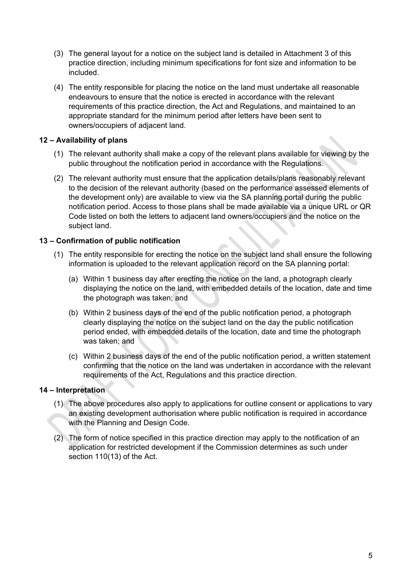- (3) The general layout for a notice on the subject land is detailed in Attachment 3 of this practice direction, including minimum specifications for font size and information to be included.
- (4) The entity responsible for placing the notice on the land must undertake all reasonable endeavours to ensure that the notice is erected in accordance with the relevant requirements of this practice direction, the Act and Regulations, and maintained to an appropriate standard for the minimum period after letters have been sent to owners/occupiers of adjacent land.

#### **12 – Availability of plans**

- (1) The relevant authority shall make a copy of the relevant plans available for viewing by the public throughout the notification period in accordance with the Regulations.
- (2) The relevant authority must ensure that the application details/plans reasonably relevant to the decision of the relevant authority (based on the performance assessed elements of the development only) are available to view via the SA planning portal during the public notification period. Access to those plans shall be made available via a unique URL or QR Code listed on both the letters to adjacent land owners/occupiers and the notice on the subject land.

#### **13 – Confirmation of public notification**

- (1) The entity responsible for erecting the notice on the subject land shall ensure the following information is uploaded to the relevant application record on the SA planning portal:
	- (a) Within 1 business day after erecting the notice on the land, a photograph clearly displaying the notice on the land, with embedded details of the location, date and time the photograph was taken; and
	- (b) Within 2 business days of the end of the public notification period, a photograph clearly displaying the notice on the subject land on the day the public notification period ended, with embedded details of the location, date and time the photograph was taken; and
	- (c) Within 2 business days of the end of the public notification period, a written statement confirming that the notice on the land was undertaken in accordance with the relevant requirements of the Act, Regulations and this practice direction.

#### **14 – Interpretation**

- (1) The above procedures also apply to applications for outline consent or applications to vary an existing development authorisation where public notification is required in accordance with the Planning and Design Code.
- (2) The form of notice specified in this practice direction may apply to the notification of an application for restricted development if the Commission determines as such under section 110(13) of the Act.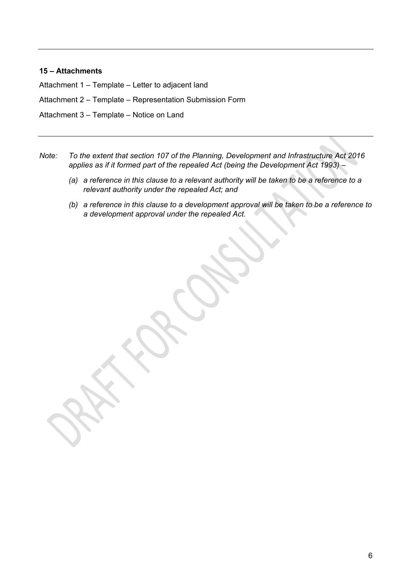#### **15 – Attachments**

Attachment 1 – Template – Letter to adjacent land

Attachment 2 – Template – Representation Submission Form

Attachment 3 – Template – Notice on Land

- *Note: To the extent that section 107 of the Planning, Development and Infrastructure Act 2016 applies as if it formed part of the repealed Act (being the Development Act 1993) –*
	- *(a) a reference in this clause to a relevant authority will be taken to be a reference to a relevant authority under the repealed Act; and*
	- *(b) a reference in this clause to a development approval will be taken to be a reference to a development approval under the repealed Act.*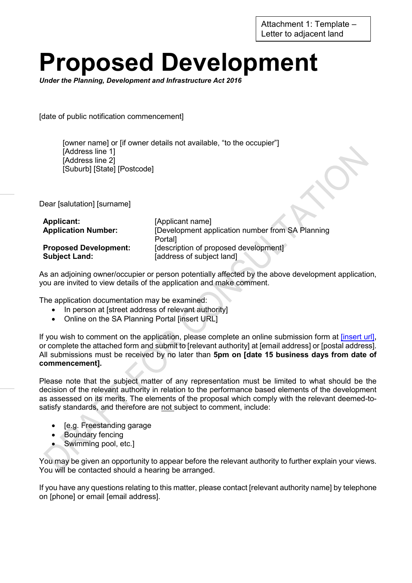Attachment 1: Template – Letter to adjacent land

# **Proposed Development**

*Under the Planning, Development and Infrastructure Act 2016*

[date of public notification commencement]

[owner name] or [if owner details not available, "to the occupier"] [Address line 1] [Address line 2] [Suburb] [State] [Postcode]

Dear [salutation] [surname]

| <b>Applicant:</b>            | [Applicant name]                                  |
|------------------------------|---------------------------------------------------|
| <b>Application Number:</b>   | [Development application number from SA Planning] |
|                              | Portall                                           |
| <b>Proposed Development:</b> | [description of proposed development]             |
| <b>Subject Land:</b>         | [address of subject land]                         |

As an adjoining owner/occupier or person potentially affected by the above development application, you are invited to view details of the application and make comment.

The application documentation may be examined:

- In person at [street address of relevant authority]
- Online on the SA Planning Portal [insert URL]

If you wish to comment on the application, please complete an online submission form at *[insert url]*, or complete the attached form and submit to [relevant authority] at [email address] or [postal address]. All submissions must be received by no later than **5pm on [date 15 business days from date of commencement].**

Please note that the subject matter of any representation must be limited to what should be the decision of the relevant authority in relation to the performance based elements of the development as assessed on its merits. The elements of the proposal which comply with the relevant deemed-tosatisfy standards, and therefore are not subject to comment, include:

- [e.g. Freestanding garage
- Boundary fencing
- Swimming pool, etc.]

You may be given an opportunity to appear before the relevant authority to further explain your views. You will be contacted should a hearing be arranged.

If you have any questions relating to this matter, please contact [relevant authority name] by telephone on [phone] or email [email address].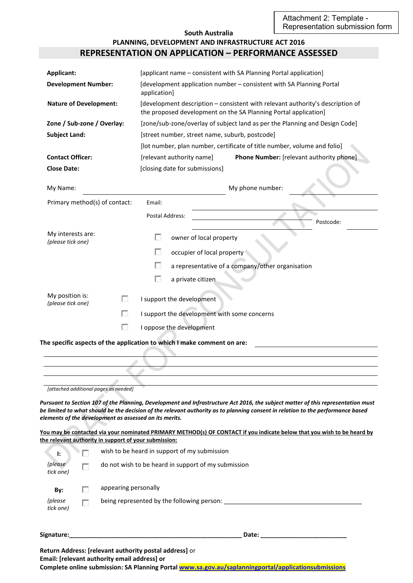#### **South Australia PLANNING, DEVELOPMENT AND INFRASTRUCTURE ACT 2016 REPRESENTATION ON APPLICATION – PERFORMANCE ASSESSED**

| Applicant:                             |                                                                                                                 | [applicant name – consistent with SA Planning Portal application]                                                                                                                                                                                                                                                                                                                              |  |
|----------------------------------------|-----------------------------------------------------------------------------------------------------------------|------------------------------------------------------------------------------------------------------------------------------------------------------------------------------------------------------------------------------------------------------------------------------------------------------------------------------------------------------------------------------------------------|--|
|                                        | <b>Development Number:</b>                                                                                      | [development application number - consistent with SA Planning Portal<br>application]                                                                                                                                                                                                                                                                                                           |  |
|                                        | <b>Nature of Development:</b>                                                                                   | [development description - consistent with relevant authority's description of<br>the proposed development on the SA Planning Portal application]                                                                                                                                                                                                                                              |  |
|                                        | Zone / Sub-zone / Overlay:                                                                                      | [zone/sub-zone/overlay of subject land as per the Planning and Design Code]                                                                                                                                                                                                                                                                                                                    |  |
| <b>Subject Land:</b>                   |                                                                                                                 | [street number, street name, suburb, postcode]                                                                                                                                                                                                                                                                                                                                                 |  |
|                                        |                                                                                                                 | [lot number, plan number, certificate of title number, volume and folio]                                                                                                                                                                                                                                                                                                                       |  |
| <b>Contact Officer:</b>                |                                                                                                                 | Phone Number: [relevant authority phone]<br>[relevant authority name]                                                                                                                                                                                                                                                                                                                          |  |
| <b>Close Date:</b>                     |                                                                                                                 | [closing date for submissions]                                                                                                                                                                                                                                                                                                                                                                 |  |
| My Name:                               |                                                                                                                 | My phone number:                                                                                                                                                                                                                                                                                                                                                                               |  |
|                                        | Primary method(s) of contact:                                                                                   | Email:                                                                                                                                                                                                                                                                                                                                                                                         |  |
|                                        |                                                                                                                 | <b>Postal Address:</b>                                                                                                                                                                                                                                                                                                                                                                         |  |
|                                        |                                                                                                                 | Postcode:                                                                                                                                                                                                                                                                                                                                                                                      |  |
| My interests are:<br>(please tick one) |                                                                                                                 | owner of local property<br>H                                                                                                                                                                                                                                                                                                                                                                   |  |
|                                        |                                                                                                                 | п<br>occupier of local property                                                                                                                                                                                                                                                                                                                                                                |  |
|                                        |                                                                                                                 | <b>College</b>                                                                                                                                                                                                                                                                                                                                                                                 |  |
|                                        |                                                                                                                 | a representative of a company/other organisation                                                                                                                                                                                                                                                                                                                                               |  |
|                                        |                                                                                                                 | п<br>a private citizen                                                                                                                                                                                                                                                                                                                                                                         |  |
| My position is:                        | п                                                                                                               | I support the development                                                                                                                                                                                                                                                                                                                                                                      |  |
| (please tick one)                      |                                                                                                                 |                                                                                                                                                                                                                                                                                                                                                                                                |  |
|                                        | <b>College</b>                                                                                                  | I support the development with some concerns                                                                                                                                                                                                                                                                                                                                                   |  |
|                                        | п                                                                                                               | I oppose the development                                                                                                                                                                                                                                                                                                                                                                       |  |
|                                        |                                                                                                                 | The specific aspects of the application to which I make comment on are:                                                                                                                                                                                                                                                                                                                        |  |
|                                        |                                                                                                                 |                                                                                                                                                                                                                                                                                                                                                                                                |  |
|                                        |                                                                                                                 |                                                                                                                                                                                                                                                                                                                                                                                                |  |
|                                        |                                                                                                                 |                                                                                                                                                                                                                                                                                                                                                                                                |  |
|                                        | [attached additional pages as needed]                                                                           |                                                                                                                                                                                                                                                                                                                                                                                                |  |
|                                        | elements of the development as assessed on its merits.<br>the relevant authority in support of your submission: | Pursuant to Section 107 of the Planning, Development and Infrastructure Act 2016, the subject matter of this representation must<br>be limited to what should be the decision of the relevant authority as to planning consent in relation to the performance based<br>You may be contacted via your nominated PRIMARY METHOD(s) OF CONTACT if you indicate below that you wish to be heard by |  |
| ŀ.                                     | п                                                                                                               | wish to be heard in support of my submission                                                                                                                                                                                                                                                                                                                                                   |  |
| (please                                |                                                                                                                 |                                                                                                                                                                                                                                                                                                                                                                                                |  |
| tick one)                              | г                                                                                                               | do not wish to be heard in support of my submission                                                                                                                                                                                                                                                                                                                                            |  |
| By:                                    | appearing personally<br>U                                                                                       |                                                                                                                                                                                                                                                                                                                                                                                                |  |
| (please<br>tick one)                   | г                                                                                                               |                                                                                                                                                                                                                                                                                                                                                                                                |  |
| Signature:                             |                                                                                                                 |                                                                                                                                                                                                                                                                                                                                                                                                |  |
|                                        | Email: [relevant authority email address] or                                                                    | Return Address: [relevant authority postal address] or                                                                                                                                                                                                                                                                                                                                         |  |

**Complete online submission: SA Planning Porta[l www.sa.gov.au/saplanningportal/applicationsubmissions](http://www.sa.gov.au/saplanningportal/applicationsubmissions)**